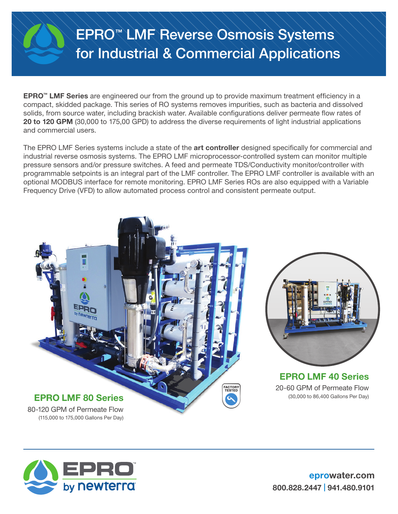## EPRO™ LMF Reverse Osmosis Systems for Industrial & Commercial Applications

EPRO™ LMF Series are engineered our from the ground up to provide maximum treatment efficiency in a compact, skidded package. This series of RO systems removes impurities, such as bacteria and dissolved solids, from source water, including brackish water. Available configurations deliver permeate flow rates of 20 to 120 GPM (30,000 to 175,00 GPD) to address the diverse requirements of light industrial applications and commercial users.

The EPRO LMF Series systems include a state of the art controller designed specifically for commercial and industrial reverse osmosis systems. The EPRO LMF microprocessor-controlled system can monitor multiple pressure sensors and/or pressure switches. A feed and permeate TDS/Conductivity monitor/controller with programmable setpoints is an integral part of the LMF controller. The EPRO LMF controller is available with an optional MODBUS interface for remote monitoring. EPRO LMF Series ROs are also equipped with a Variable Frequency Drive (VFD) to allow automated process control and consistent permeate output.





EPRO LMF 40 Series 20-60 GPM of Permeate Flow (30,000 to 86,400 Gallons Per Day)

80-120 GPM of Permeate Flow



eprowater.com 800.828.2447 | 941.480.9101